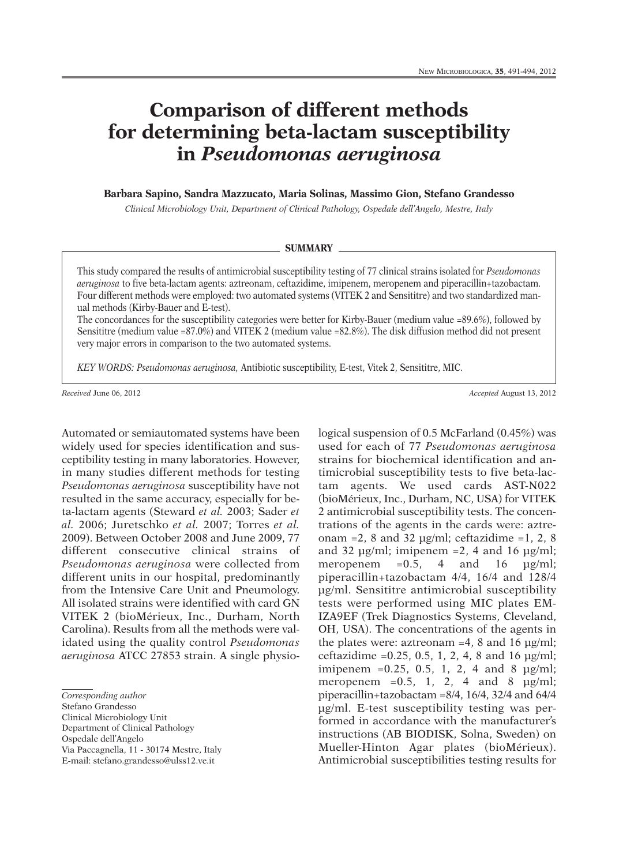## **Comparison of different methods for determining beta-lactam susceptibility in** *Pseudomonas aeruginosa*

**Barbara Sapino, Sandra Mazzucato, Maria Solinas, Massimo Gion, Stefano Grandesso**

*Clinical Microbiology Unit, Department of Clinical Pathology, Ospedale dell'Angelo, Mestre, Italy*

## **SUMMARY**

This study compared the results of antimicrobial susceptibility testing of 77 clinical strains isolated for *Pseudomonas aeruginosa* to five beta-lactam agents: aztreonam, ceftazidime, imipenem, meropenem and piperacillin+tazobactam. Four different methods were employed: two automated systems (VITEK 2 and Sensititre) and two standardized manual methods (Kirby-Bauer and E-test).

The concordances for the susceptibility categories were better for Kirby-Bauer (medium value =89.6%), followed by Sensititre (medium value =87.0%) and VITEK 2 (medium value =82.8%). The disk diffusion method did not present very major errors in comparison to the two automated systems.

*KEY WORDS: Pseudomonas aeruginosa,* Antibiotic susceptibility, E-test, Vitek 2, Sensititre, MIC.

*Received* June 06, 2012 *Accepted* August 13, 2012

Automated or semiautomated systems have been widely used for species identification and susceptibility testing in many laboratories. However, in many studies different methods for testing *Pseudomonas aeruginosa* susceptibility have not resulted in the same accuracy, especially for beta-lactam agents (Steward *et al.* 2003; Sader *et al.* 2006; Juretschko *et al.* 2007; Torres *et al.* 2009). Between October 2008 and June 2009, 77 different consecutive clinical strains of *Pseudomonas aeruginosa* were collected from different units in our hospital, predominantly from the Intensive Care Unit and Pneumology. All isolated strains were identified with card GN VITEK 2 (bioMérieux, Inc., Durham, North Carolina). Results from all the methods were validated using the quality control *Pseudomonas aeruginosa* ATCC 27853 strain. A single physio-

*Corresponding author*

Stefano Grandesso

Clinical Microbiology Unit

Department of Clinical Pathology

Ospedale dell'Angelo

Via Paccagnella, 11 - 30174 Mestre, Italy E-mail: stefano.grandesso@ulss12.ve.it

logical suspension of 0.5 McFarland (0.45%) was used for each of 77 *Pseudomonas aeruginosa* strains for biochemical identification and antimicrobial susceptibility tests to five beta-lactam agents. We used cards AST-N022 (bioMérieux, Inc., Durham, NC, USA) for VITEK 2 antimicrobial susceptibility tests. The concentrations of the agents in the cards were: aztreonam =2, 8 and 32  $\mu$ g/ml; ceftazidime =1, 2, 8 and 32  $\mu$ g/ml; imipenem =2, 4 and 16  $\mu$ g/ml; meropenem =  $0.5$ , 4 and 16  $\mu$ g/ml; piperacillin+tazobactam 4/4, 16/4 and 128/4 µg/ml. Sensititre antimicrobial susceptibility tests were performed using MIC plates EM-IZA9EF (Trek Diagnostics Systems, Cleveland, OH, USA). The concentrations of the agents in the plates were: aztreonam  $=4$ , 8 and 16  $\mu$ g/ml; ceftazidime =0.25, 0.5, 1, 2, 4, 8 and 16 µg/ml; imipenem =0.25, 0.5, 1, 2, 4 and 8 µg/ml; meropenem =0.5, 1, 2, 4 and 8  $\mu$ g/ml; piperacillin+tazobactam =8/4, 16/4, 32/4 and 64/4 µg/ml. E-test susceptibility testing was performed in accordance with the manufacturer's instructions (AB BIODISK, Solna, Sweden) on Mueller-Hinton Agar plates (bioMérieux). Antimicrobial susceptibilities testing results for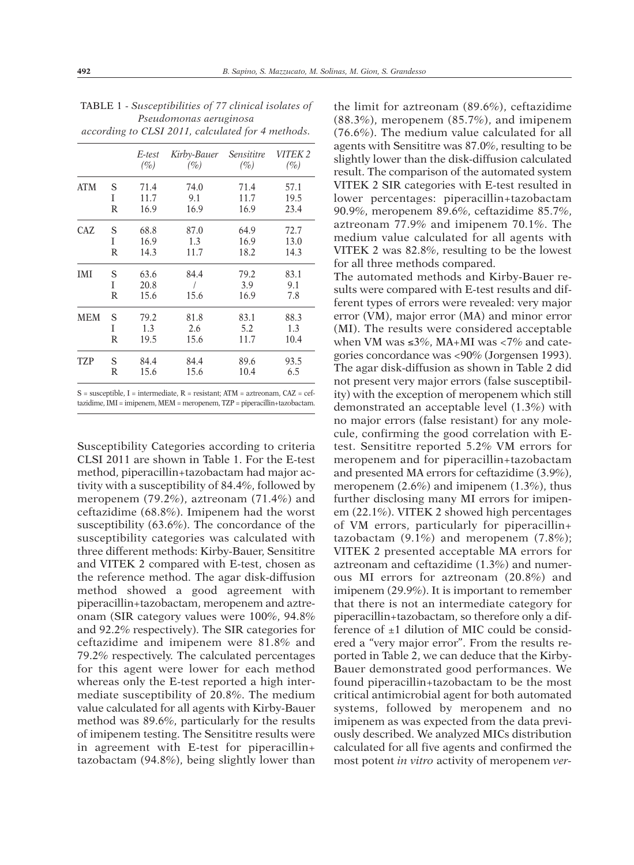|            |   | E-test | Kirby-Bauer | <i>Sensititre</i> | VITEK 2 |
|------------|---|--------|-------------|-------------------|---------|
|            |   | $(\%)$ | (%)         | $(\%)$            | $(\%)$  |
| ATM        | S | 71.4   | 74.0        | 71.4              | 57.1    |
|            | Ī | 11.7   | 9.1         | 11.7              | 19.5    |
|            | R | 16.9   | 16.9        | 16.9              | 23.4    |
| CAZ        | S | 68.8   | 87.0        | 64.9              | 72.7    |
|            | Ī | 16.9   | 1.3         | 16.9              | 13.0    |
|            | R | 14.3   | 11.7        | 18.2              | 14.3    |
| IMI        | S | 63.6   | 84.4        | 79.2              | 83.1    |
|            | T | 20.8   |             | 3.9               | 9.1     |
|            | R | 15.6   | 15.6        | 16.9              | 7.8     |
| <b>MEM</b> | S | 79.2   | 81.8        | 83.1              | 88.3    |
|            | T | 1.3    | 2.6         | 5.2               | 1.3     |
|            | R | 19.5   | 15.6        | 11.7              | 10.4    |
| TZP        | S | 84.4   | 84.4        | 89.6              | 93.5    |
|            | R | 15.6   | 15.6        | 10.4              | 6.5     |
|            |   |        |             |                   |         |

| <b>TABLE 1 - Susceptibilities of 77 clinical isolates of</b> |  |  |  |  |  |  |  |  |
|--------------------------------------------------------------|--|--|--|--|--|--|--|--|
| Pseudomonas aeruginosa                                       |  |  |  |  |  |  |  |  |
| according to CLSI 2011, calculated for 4 methods.            |  |  |  |  |  |  |  |  |

S = susceptible, I = intermediate, R = resistant; ATM = aztreonam, CAZ = ceftazidime,IMI = imipenem, MEM = meropenem, TZP = piperacillin+tazobactam.

Susceptibility Categories according to criteria CLSI 2011 are shown in Table 1. For the E-test method, piperacillin+tazobactam had major activity with a susceptibility of 84.4%, followed by meropenem (79.2%), aztreonam (71.4%) and ceftazidime (68.8%). Imipenem had the worst susceptibility (63.6%). The concordance of the susceptibility categories was calculated with three different methods: Kirby-Bauer, Sensititre and VITEK 2 compared with E-test, chosen as the reference method. The agar disk-diffusion method showed a good agreement with piperacillin+tazobactam, meropenem and aztreonam (SIR category values were 100%, 94.8% and 92.2% respectively). The SIR categories for ceftazidime and imipenem were 81.8% and 79.2% respectively. The calculated percentages for this agent were lower for each method whereas only the E-test reported a high intermediate susceptibility of 20.8%. The medium value calculated for all agents with Kirby-Bauer method was 89.6%, particularly for the results of imipenem testing. The Sensititre results were in agreement with E-test for piperacillin+ tazobactam (94.8%), being slightly lower than

the limit for aztreonam (89.6%), ceftazidime (88.3%), meropenem (85.7%), and imipenem (76.6%). The medium value calculated for all agents with Sensititre was 87.0%, resulting to be slightly lower than the disk-diffusion calculated result. The comparison of the automated system VITEK 2 SIR categories with E-test resulted in lower percentages: piperacillin+tazobactam 90.9%, meropenem 89.6%, ceftazidime 85.7%, aztreonam 77.9% and imipenem 70.1%. The medium value calculated for all agents with VITEK 2 was 82.8%, resulting to be the lowest for all three methods compared.

The automated methods and Kirby-Bauer results were compared with E-test results and different types of errors were revealed: very major error (VM), major error (MA) and minor error (MI). The results were considered acceptable when VM was  ${\le}3\%,$  MA+MI was  ${<}7\%$  and categories concordance was <90% (Jorgensen 1993). The agar disk-diffusion as shown in Table 2 did not present very major errors (false susceptibility) with the exception of meropenem which still demonstrated an acceptable level (1.3%) with no major errors (false resistant) for any molecule, confirming the good correlation with Etest. Sensititre reported 5.2% VM errors for meropenem and for piperacillin+tazobactam and presented MA errors for ceftazidime (3.9%), meropenem (2.6%) and imipenem (1.3%), thus further disclosing many MI errors for imipenem (22.1%). VITEK 2 showed high percentages of VM errors, particularly for piperacillin+ tazobactam  $(9.1\%)$  and meropenem  $(7.8\%)$ ; VITEK 2 presented acceptable MA errors for aztreonam and ceftazidime (1.3%) and numerous MI errors for aztreonam (20.8%) and imipenem (29.9%). It is important to remember that there is not an intermediate category for piperacillin+tazobactam, so therefore only a difference of  $\pm 1$  dilution of MIC could be considered a "very major error". From the results reported in Table 2, we can deduce that the Kirby-Bauer demonstrated good performances. We found piperacillin+tazobactam to be the most critical antimicrobial agent for both automated systems, followed by meropenem and no imipenem as was expected from the data previously described. We analyzed MICs distribution calculated for all five agents and confirmed the most potent *in vitro* activity of meropenem *ver-*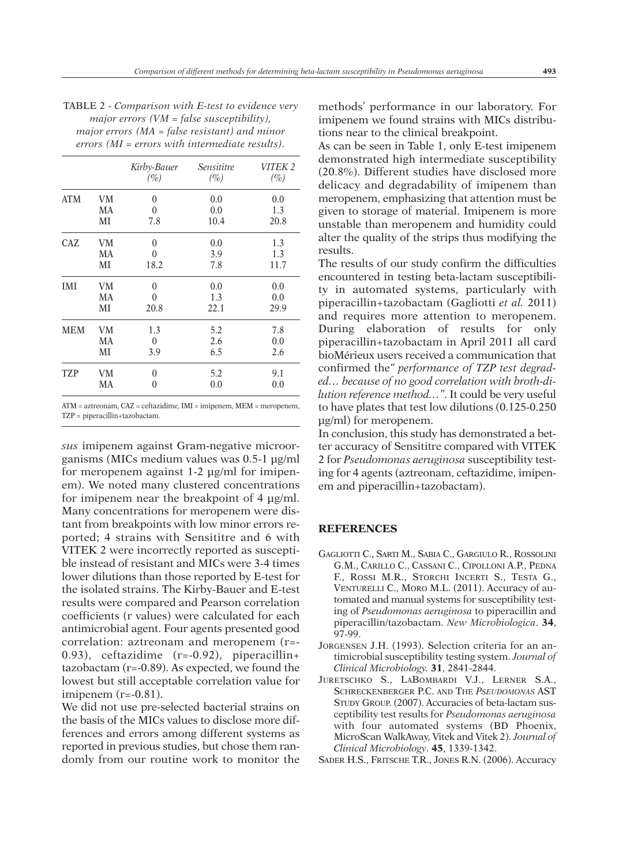TABLE 2 - *Comparison with E-test to evidence very major errors (VM = false susceptibility), major errors (MA = false resistant) and minor errors (MI = errors with intermediate results).*

|            |    | Kirby-Bauer<br>$(\%)$ | Sensititre<br>$(\%)$ | VITEK 2<br>$(\%)$ |
|------------|----|-----------------------|----------------------|-------------------|
| <b>ATM</b> | VM | 0                     | 0.0                  | 0.0               |
|            | MA | 0                     | 0.0                  | 1.3               |
|            | МI | 7.8                   | 10.4                 | 20.8              |
| <b>CAZ</b> | VM | 0                     | 0.0                  | 1.3               |
|            | MA | 0                     | 3.9                  | 1.3               |
|            | МI | 18.2                  | 7.8                  | 11.7              |
| IMI        | VM | 0                     | 0.0                  | 0.0               |
|            | MA | 0                     | 1.3                  | 0.0               |
|            | MI | 20.8                  | 22.1                 | 29.9              |
| MEM        | VM | 1.3                   | 5.2                  | 7.8               |
|            | MA | $\boldsymbol{0}$      | 2.6                  | 0.0               |
|            | MI | 3.9                   | 6.5                  | 2.6               |
| <b>TZP</b> | VM | 0                     | 5.2                  | 9.1               |
|            | MA | 0                     | 0.0                  | 0.0               |

ATM = aztreonam, CAZ = ceftazidime, IMI = imipenem, MEM = meropenem, TZP = piperacillin+tazobactam.

*sus* imipenem against Gram-negative microorganisms (MICs medium values was 0.5-1 µg/ml for meropenem against 1-2 µg/ml for imipenem). We noted many clustered concentrations for imipenem near the breakpoint of 4 µg/ml. Many concentrations for meropenem were distant from breakpoints with low minor errors reported; 4 strains with Sensititre and 6 with VITEK 2 were incorrectly reported as susceptible instead of resistant and MICs were 3-4 times lower dilutions than those reported by E-test for the isolated strains. The Kirby-Bauer and E-test results were compared and Pearson correlation coefficients (r values) were calculated for each antimicrobial agent. Four agents presented good correlation: aztreonam and meropenem (r=- 0.93), ceftazidime (r=-0.92), piperacillin+ tazobactam (r=-0.89). As expected, we found the lowest but still acceptable correlation value for imipenem  $(r=-0.81)$ .

We did not use pre-selected bacterial strains on the basis of the MICs values to disclose more differences and errors among different systems as reported in previous studies, but chose them randomly from our routine work to monitor the methods' performance in our laboratory. For imipenem we found strains with MICs distributions near to the clinical breakpoint.

As can be seen in Table 1, only E-test imipenem demonstrated high intermediate susceptibility (20.8%). Different studies have disclosed more delicacy and degradability of imipenem than meropenem, emphasizing that attention must be given to storage of material. Imipenem is more unstable than meropenem and humidity could alter the quality of the strips thus modifying the results.

The results of our study confirm the difficulties encountered in testing beta-lactam susceptibility in automated systems, particularly with piperacillin+tazobactam (Gagliotti *et al.* 2011) and requires more attention to meropenem. During elaboration of results for only piperacillin+tazobactam in April 2011 all card bioMérieux users received a communication that confirmed the*" performance of TZP test degraded… because of no good correlation with broth-dilution reference method…"*. It could be very useful to have plates that test low dilutions (0.125-0.250 µg/ml) for meropenem.

In conclusion, this study has demonstrated a better accuracy of Sensititre compared with VITEK 2 for *Pseudomonas aeruginosa* susceptibility testing for 4 agents (aztreonam, ceftazidime, imipenem and piperacillin+tazobactam).

## **REFERENCES**

- GAGLIOTTI C., SARTI M., SABIA C., GARGIULO R., ROSSOLINI G.M., CARILLO C., CASSANI C., CIPOLLONI A.P., PEDNA F., ROSSI M.R., STORCHI INCERTI S., TESTA G., VENTURELLI C., MORO M.L. (2011). Accuracy of automated and manual systems for susceptibility testing of *Pseudomonas aeruginosa* to piperacillin and piperacillin/tazobactam. *New Microbiologica*. **34**, 97-99.
- JORGENSEN J.H. (1993). Selection criteria for an antimicrobial susceptibility testing system. *Journal of Clinical Microbiology.* **31**, 2841-2844.
- JURETSCHKO S., LABOMBARDI V.J., LERNER S.A., SCHRECKENBERGER P.C. AND THE *PSEUDOMONAS* AST STUDY GROUP. (2007). Accuracies of beta-lactam susceptibility test results for *Pseudomonas aeruginosa* with four automated systems (BD Phoenix, MicroScan WalkAway, Vitek and Vitek 2). *Journal of Clinical Microbiology*. **45**, 1339-1342.

SADER H.S., FRITSCHE T.R., JONES R.N. (2006). Accuracy